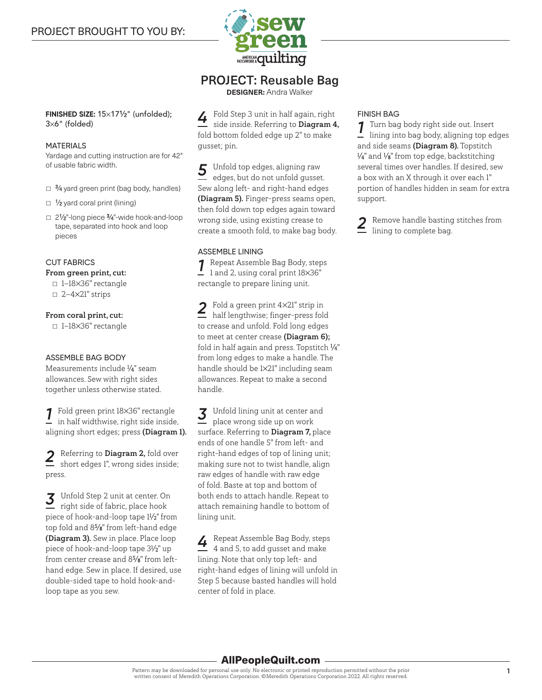

## PROJECT: Reusable Bag

**DESIGNER:** Andra Walker

**FINISHED SIZE:** 15×171⁄2" (unfolded); 3×6" (folded)

#### MATERIALS

Yardage and cutting instruction are for 42" of usable fabric width.

- $\Box$  3/4 yard green print (bag body, handles)
- $\Box$  1/<sub>2</sub> yard coral print (lining)
- 21⁄2"-long piece 3⁄4"-wide hook-and-loop tape, separated into hook and loop pieces

#### CUT FABRICS

#### From green print, cut:

- 1—18×36" rectangle  $\Box$  2-4×21" strips
- From coral print, cut:

▫ 1—18×36" rectangle

#### ASSEMBLE BAG BODY

Measurements include 1 ⁄4" seam allowances. Sew with right sides together unless otherwise stated.

*1* Fold green print 18×36" rectangle in half widthwise, right side inside, aligning short edges; press (Diagram 1).

*2* Referring to Diagram 2, fold over short edges 1", wrong sides inside; press.

*3* Unfold Step 2 unit at center. On right side of fabric, place hook piece of hook-and-loop tape 11 ⁄2" from top fold and 85⁄8" from left-hand edge (Diagram 3). Sew in place. Place loop piece of hook-and-loop tape 31 ⁄2" up from center crease and 85⁄8" from lefthand edge. Sew in place. If desired, use double-sided tape to hold hook-andloop tape as you sew.

*4* Fold Step 3 unit in half again, right side inside. Referring to Diagram 4, fold bottom folded edge up 2" to make gusset; pin.

*5* Unfold top edges, aligning raw edges, but do not unfold gusset. Sew along left- and right-hand edges (Diagram 5). Finger-press seams open, then fold down top edges again toward wrong side, using existing crease to create a smooth fold, to make bag body.

#### ASSEMBLE LINING

*1* Repeat Assemble Bag Body, steps 1 and 2, using coral print 18×36" rectangle to prepare lining unit.

*2* Fold a green print 4×21" strip in half lengthwise; finger-press fold to crease and unfold. Fold long edges to meet at center crease (Diagram 6); fold in half again and press. Topstitch 1 ⁄4" from long edges to make a handle. The handle should be 1×21" including seam allowances. Repeat to make a second handle.

*3* Unfold lining unit at center and place wrong side up on work surface. Referring to Diagram 7, place ends of one handle 5" from left- and right-hand edges of top of lining unit; making sure not to twist handle, align raw edges of handle with raw edge of fold. Baste at top and bottom of both ends to attach handle. Repeat to attach remaining handle to bottom of lining unit.

*4* Repeat Assemble Bag Body, steps 4 and 5, to add gusset and make lining. Note that only top left- and right-hand edges of lining will unfold in Step 5 because basted handles will hold center of fold in place.

#### FINISH BAG

*1* Turn bag body right side out. Insert lining into bag body, aligning top edges and side seams (Diagram 8). Topstitch 1 ⁄4" and 1 ⁄8" from top edge, backstitching several times over handles. If desired, sew a box with an X through it over each 1" portion of handles hidden in seam for extra support.

*2* Remove handle basting stitches from lining to complete bag.

### AllPeopleQuilt.com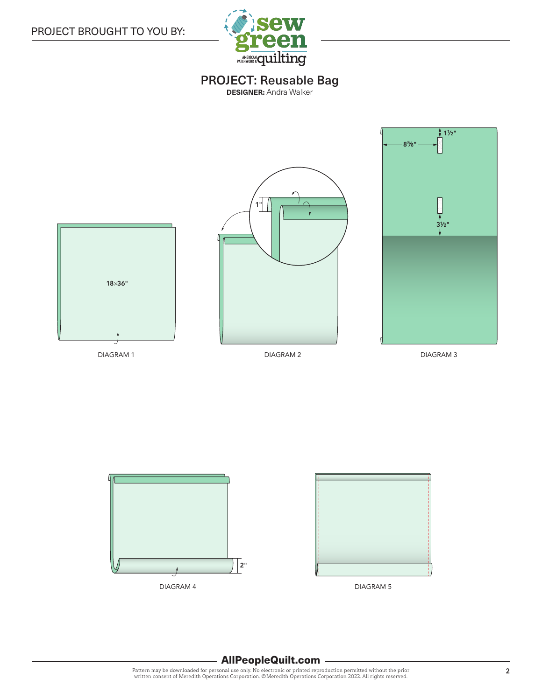

# PROJECT: Reusable Bag

**DESIGNER:** Andra Walker







DIAGRAM 5

### AllPeopleQuilt.com